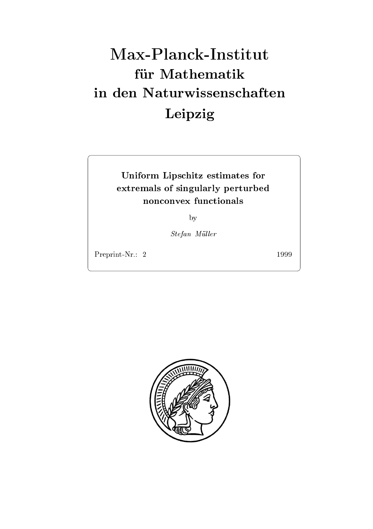# Max-Planck-Institut für Mathematik Leipzig

Uniform Lipschitz estimates for the state for the state of the state of the state of the state of the state of extremals of singularly perturbed and singularly perturbed and singularly perturbed and singularly perturbed a

by

Stefan Müller

Preprint-Nr.: 2

1999

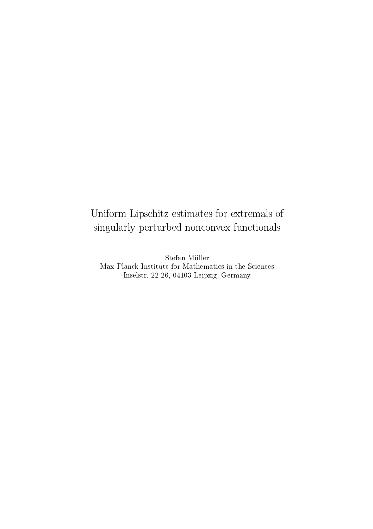# Uniform Lipschitz estimates for extremels of extremals of the contract of the contract of the contract of the c singularly perturbed non-convex functionals functionally functional services functional contracts functionally

stefan Muller and Muller and Muller and Muller and Muller and Muller and Muller and Muller and Muller and Mull Max Planck Institute for Mathematics in the Sciences  $\max$  -  $\frac{22 - 20}{100}$ ,  $\frac{100}{200}$  being  $\frac{100}{200}$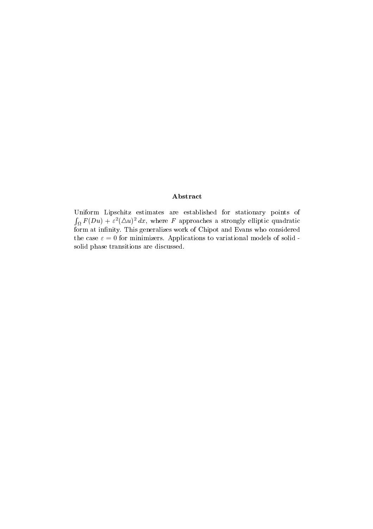## Abstract

Uniform Lipschitz estimates are established for stationary points of  $\int_{\Omega} F(Du) + \varepsilon^2 (\Delta u)^2 dx$ , where F approaches a strongly elliptic quadratic form at infinity. This generalizes work of Chipot and Evans who considered the case  $\varepsilon = 0$  for minimizers. Applications to variational models of solidsolid phase transitions are discussed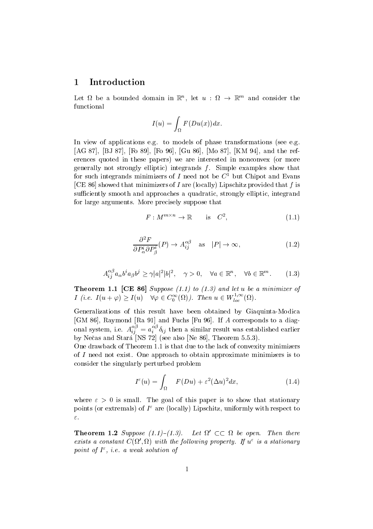#### 1 Introduction

Let  $\Omega$  be a bounded domain in  $\mathbb{K}^n$ , let  $u : \Omega \to \mathbb{K}^m$  and consider the functional

$$
I(u) = \int_{\Omega} F(Du(x))dx.
$$

In view of applications e.g. to models of phase transformations (see e.g. [AG 87], [BJ 87], [Fo 89], [Fo 96], [Gu 86], [Mo 87], [KM 94], and the references quoted in these papers) we are interested in nonconvex (or more generally not strongly elliptic) integrands  $f$ . Simple examples show that for such integrands minimizers of  $I$  need not be  $C^-$  but Chipot and Evans [CE 86] showed that minimizers of I are (locally) Lipschitz provided that  $f$  is sufficiently smooth and approaches a quadratic, strongly elliptic, integrand for large arguments. More precisely suppose that

$$
F: M^{m \times n} \to \mathbb{R} \qquad \text{is} \quad C^2,\tag{1.1}
$$

$$
\frac{\partial^2 F}{\partial P^i_{\alpha} \partial P^i_{\beta}}(P) \to A^{\alpha \beta}_{ij} \quad \text{as} \quad |P| \to \infty,
$$
\n(1.2)

$$
A_{ij}^{\alpha\beta}a_{\alpha}b^ia_{\beta}b^j \ge \gamma|a|^2|b|^2, \quad \gamma > 0, \quad \forall a \in \mathbb{R}^n, \quad \forall b \in \mathbb{R}^m. \tag{1.3}
$$

Theorem  $\mathcal{L}=\mathcal{L}$  and let us and let us a minimize  $\mathcal{L}=\mathcal{L}$  and let us a minimize  $\mathcal{L}=\mathcal{L}$ I (i.e.  $I(u + \varphi) \geq I(u)$   $\forall \varphi \in C_0^{\infty}(\Omega)$ ). Then  $u \in W_{loc}^{1,\infty}(\Omega)$ .

Generalizations of this result have been obtained by Giaquinta-Modica  $\mathcal{L}_1$  . The statistical properties of  $\mathcal{L}_2$  , we have the function  $\mathcal{L}_3$  and  $\mathcal{L}_4$  and  $\mathcal{L}_5$  and  $\mathcal{L}_7$  and  $\mathcal{L}_8$  and  $\mathcal{L}_7$  and  $\mathcal{L}_8$  and  $\mathcal{L}_8$  and  $\mathcal{L}_9$  and  $\mathcal{L}_9$  and  $\mathcal{L$ onal system, i.e.  $A_{ij}^{\dots} = a_i^{\dots} \delta_{ij}$  then a similar result was established earlier by Nečas and Stará<sup>"</sup>[NS 72] (see also [Ne 86], Theorem 5.5.3).

One drawback of Theorem 1.1 is that due to the lack of convexity minimizers of  $I$  need not exist. One approach to obtain approximate minimizers is to consider the singularly perturbed problem

$$
I^{\varepsilon}(u) = \int_{\Omega} F(Du) + \varepsilon^{2} (\Delta u)^{2} dx, \qquad (1.4)
$$

where  $\varepsilon > 0$  is small. The goal of this paper is to show that stationary points (or extremals) of I are (locally) Lipschitz, uniformly with respect to  $\varepsilon.$ 

**Theorem 1.2** Suppose (1.1)–(1.3). Let  $\Omega' \subset\subset \Omega$  be open. Then there exists a constant  $C(\Omega,\Omega)$  with the following property. If  $u^-$  is a stationary point of 1, i.e. a weak solution of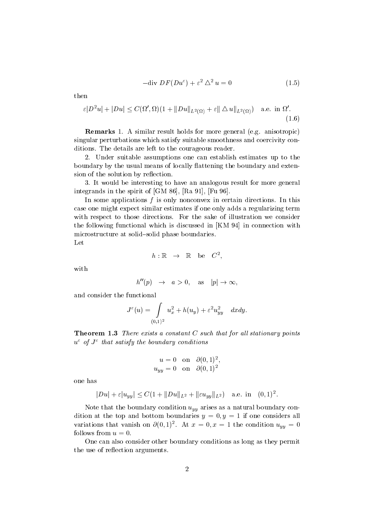$$
-\text{div } DF(Du^{\varepsilon}) + \varepsilon^2 \triangle^2 u = 0 \tag{1.5}
$$

then

$$
\varepsilon|D^2u|+|Du|\leq C(\Omega',\Omega)(1+\|Du\|_{L^2(\Omega)}+\varepsilon\|\Delta u\|_{L^2(\Omega)})\quad\text{a.e. in }\Omega'.
$$
\n(1.6)

**Remarks** 1. A similar result holds for more general (e.g. anisotropic) singular perturbations which satisfy suitable smoothness and coercivity con ditions. The details are left to the courageous reader.

 Under suitable assumptions one can establish estimates up to the boundary by the usual means of locally flattening the boundary and extension of the solution by reflection.

 It would be interesting to have an analogous result for more general integrands in the spirit of  $[GM 86]$ ,  $[Ra 91]$ ,  $[Fu 96]$ .

In some applications  $f$  is only nonconvex in certain directions. In this case one might expect similar estimates if one only adds a regularizing term with respect to those directions. For the sake of illustration we consider the following functional which is discussed in  $KM 94$  in connection with microstructure at solid-solid phase boundaries. Let

$$
f_{\rm{max}}
$$

with

$$
h''(p) \rightarrow a > 0, \text{ as } |p| \rightarrow \infty,
$$

 $h: \mathbb{K} \rightarrow \mathbb{K}$  be  $C^{z},$ 

and consider the functional

$$
J^{\varepsilon}(u)=\int\limits_{(0,1)^2}u_x^2+h(u_y)+\varepsilon^2u_{yy}^2\quad dxdy.
$$

**Theorem 1.3** There exists a constant  $C$  such that for all stationary points u of J that satisfy the boundary conditions

$$
u = 0 \quad \text{on} \quad \partial(0,1)^2,
$$
  

$$
u_{uu} = 0 \quad \text{on} \quad \partial(0,1)^2
$$

one has

$$
|Du| + \varepsilon |u_{yy}| \le C(1 + ||Du||_{L^2} + ||\varepsilon u_{yy}||_{L^2}) \quad \text{a.e. in} \quad (0,1)^2.
$$

Note that the boundary condition  $u_{yy}$  arises as a natural boundary condition at the top and bottom boundaries y and bottom boundaries y and boundaries y services y all of one considers a variations that vanish on  $\sigma(0,1)^{2}$ . At  $x = 0, x = 1$  the condition  $u_{yy} = 0$ follows from  $u=0$ .

One can also consider other boundary conditions as long as they permit the use of reflection arguments.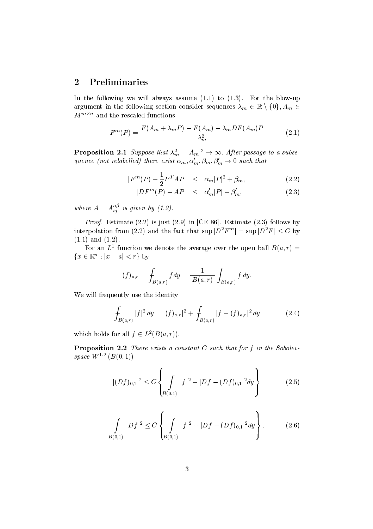#### $\overline{2}$ Preliminaries

In the following we will always assume  $(1.1)$  to  $(1.3)$ . For the blow-up argument in the following section consider sequences  $\lambda_m \in \mathbb{R} \setminus \{0\}, A_m \in$  $M^{m\times n}$  and the rescaled functions

$$
F^{m}(P) = \frac{F(A_m + \lambda_m P) - F(A_m) - \lambda_m DF(A_m)P}{\lambda_m^2} \tag{2.1}
$$

**Proposition 2.1** Suppose that  $\lambda_m^2 + |A_m|^2 \rightarrow \infty$ . After passage to a subsequence (not relabelled) there exist  $\alpha_m, \alpha'_m, \beta_m, \beta'_m \rightarrow 0$  such that

$$
|F^{m}(P) - \frac{1}{2}P^{T}AP| \leq \alpha_m |P|^2 + \beta_m, \tag{2.2}
$$

$$
|DF^m(P) - AP| \le \alpha'_m|P| + \beta'_m,\tag{2.3}
$$

where  $A = A_{ij}^{\top}$  is given by (1.2).

Proof- Estimate is just in CE  Estimate follows by interpolation from (2.2) and the fact that  $\sup |D^2F^m| = \sup |D^2F| \leq C$  by  $(1.1)$  and  $(1.2)$ .

For an  $L^-$  function we denote the average over the open ball  $B(a,r) =$  ${x \in \mathbb{R}^n : |x - a| < r}$  by

$$
(f)_{a,r} = \int_{B(a,r)} f \, dy = \frac{1}{|B(a,r)|} \int_{B(a,r)} f \, dy.
$$

We will frequently use the identity

$$
\int_{B(a,r)} |f|^2 dy = |(f)_{a,r}|^2 + \int_{B(a,r)} |f - (f)_{a,r}|^2 dy \qquad (2.4)
$$

which holds for all  $f \in L^2(B(a,r))$ .

**Proposition 2.2** There exists a constant C such that for f in the Sobolevspace  $W^{-,-}$  ( $D(0, 1)$ )

$$
|(Df)_{0,1}|^2 \le C \left\{ \int\limits_{B(0,1)} |f|^2 + |Df - (Df)_{0,1}|^2 dy \right\} \tag{2.5}
$$

$$
\int_{B(0,1)} |Df|^2 \le C \left\{ \int_{B(0,1)} |f|^2 + |Df - (Df)_{0,1}|^2 dy \right\}.
$$
 (2.6)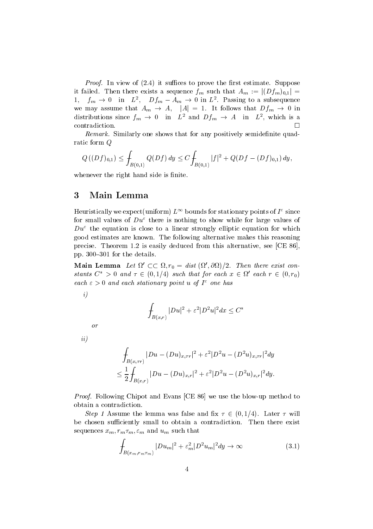Proof- In view of it suces to prove the rst estimate Suppose it failed. Then there exists a sequence  $f_m$  such that  $A_m := |(Df_m)_{0,1}| =$  $1,$  $f_m \to 0$  in  $L^2$ ,  $Df_m - A_m \to 0$  in  $L^2$ . Passing to a subsequence we may assume that  $A_m \to A$ ,  $|A| = 1$ . It follows that  $Df_m \to 0$  in distributions since  $f_m \to 0$  in  $L^2$  and  $Df_m \to A$  in  $L^2$ , which is a  $\Box$ contradiction.

remark- Similarly one shows that for any positively semidented quadra ratic form Q

$$
Q((Df)_{0,1}) \leq \int_{B(0,1)} Q(Df) dy \leq C \int_{B(0,1)} |f|^2 + Q(Df - (Df)_{0,1}) dy,
$$

whenever the right hand side is finite.

#### $\bf{3}$ Main Lemma

Heuristically we expect (uniform )  $L^+$  -bounds for stationary points of  $I^+$  since for small values of  $Du^{\varepsilon}$  there is nothing to show while for large values of  $Du^{\varepsilon}$  the equation is close to a linear strongly elliptic equation for which good estimates are known The following alternative makes this reasoning precise. Theorem 1.2 is easily deduced from this alternative, see [CE  $86$ ], pp.  $300-301$  for the details.

Main Lemma Let  $\Omega' \subset \subset \Omega$ ,  $r_0 = dist(\Omega', \partial \Omega)/2$ . Then there exist constants  $C^* > 0$  and  $\tau \in (0,1/4)$  such that for each  $x \in \Omega'$  each  $r \in (0,r_0)$  $e$ ach  $\varepsilon > 0$  and each stationary point  $u$  of  $I$  fone has

i

$$
\int_{B(x,r)}|Du|^2+\varepsilon^2|D^2u|^2dx\leq C^*
$$

or

ii

$$
\int_{B(x,\tau r)} |Du - (Du)_{x,\tau r}|^2 + \varepsilon^2 |D^2 u - (D^2 u)_{x,\tau r}|^2 dy
$$
\n
$$
\leq \frac{1}{2} \int_{B(x,r)} |Du - (Du)_{x,r}|^2 + \varepsilon^2 |D^2 u - (D^2 u)_{x,r}|^2 dy.
$$

Proof- Following Chipot and Evans CE  we use the blowup method to obtain a contradiction

Step 1 Assume the lemma was false and fix  $\tau \in (0,1/4)$ . Later  $\tau$  will be chosen sufficiently small to obtain a contradiction. Then there exist sequences xm- rm
m- m and um such that

$$
\int_{B(x_m, r_m \tau_m)} |Du_m|^2 + \varepsilon_m^2 |D^2 u_m|^2 dy \to \infty \tag{3.1}
$$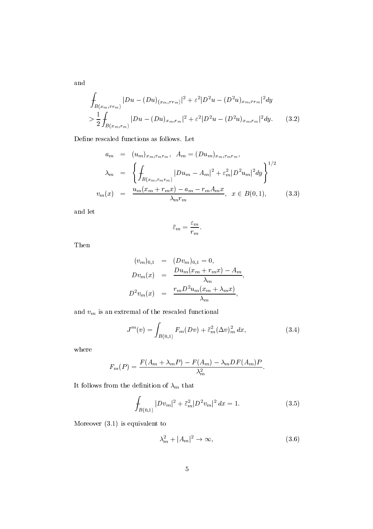$$
\int_{B(x_m,\tau r_m)} |Du - (Du)_{(x_m,\tau r_m)}|^2 + \varepsilon^2 |D^2 u - (D^2 u)_{x_m,\tau r_m}|^2 dy
$$
\n
$$
> \frac{1}{2} \int_{B(x_m,\tau_m)} |Du - (Du)_{x_m,\tau_m}|^2 + \varepsilon^2 |D^2 u - (D^2 u)_{x_m,\tau_m}|^2 dy. \tag{3.2}
$$

Define rescaled functions as follows. Let

$$
a_m = (u_m)_{x_m, \tau_m r_m}, \quad A_m = (Du_m)_{x_m, \tau_m r_m},
$$
  
\n
$$
\lambda_m = \left\{ \int_{B(x_m, \tau_m r_m)} |Du_m - A_m|^2 + \varepsilon_m^2 |D^2 u_m|^2 dy \right\}^{1/2}
$$
  
\n
$$
v_m(x) = \frac{u_m(x_m + r_m x) - a_m - r_m A_m x}{\lambda_m r_m}, \quad x \in B(0, 1), \quad (3.3)
$$

and let

$$
\bar{\varepsilon}_m = \frac{\varepsilon_m}{r_m}.
$$

Then

$$
(v_m)_{0,1} = (Dv_m)_{0,1} = 0,
$$
  
\n
$$
Dv_m(x) = \frac{Du_m(x_m + r_mx) - A_m}{\lambda_m},
$$
  
\n
$$
D^2v_m(x) = \frac{r_mD^2u_m(x_m + \lambda_mx)}{\lambda_m},
$$

and  $\boldsymbol{v}_m$  is an extremal of the rescaled functional

$$
J^{m}(v) = \int_{B(0,1)} F_{m}(Dv) + \bar{\varepsilon}_{m}^{2} (\Delta v)_{m}^{2} dx,
$$
 (3.4)

where

$$
F_m(P) = \frac{F(A_m + \lambda_m P) - F(A_m) - \lambda_m DF(A_m)P}{\lambda_m^2}.
$$

It follows from the definition of  $\lambda_m$  that

$$
\int_{B(0,1)} |Dv_m|^2 + \bar{\varepsilon}_m^2 |D^2 v_m|^2 dx = 1.
$$
\n(3.5)

Moreover  $(3.1)$  is equivalent to

$$
\lambda_m^2 + |A_m|^2 \to \infty,\tag{3.6}
$$

and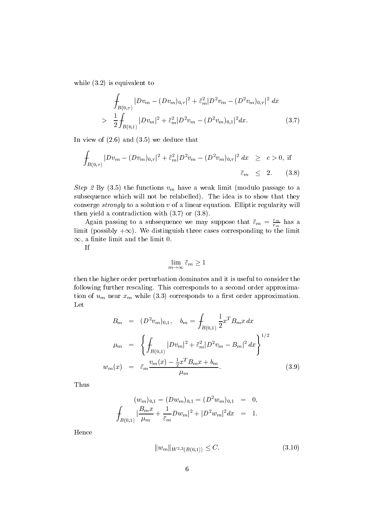while  $(3.2)$  is equivalent to

$$
\int_{B(0,\tau)} |Dv_m - (Dv_m)_{0,\tau}|^2 + \bar{\varepsilon}_m^2 |D^2 v_m - (D^2 v_m)_{0,\tau}|^2 dx
$$
\n
$$
> \frac{1}{2} \int_{B(0,1)} |Dv_m|^2 + \bar{\varepsilon}_m^2 |D^2 v_m - (D^2 v_m)_{0,1}|^2 dx. \tag{3.7}
$$

In view of  $(2.6)$  and  $(3.5)$  we deduce that

$$
\int_{B(0,\tau)} |Dv_m - (Dv_m)_{0,\tau}|^2 + \bar{\varepsilon}_m^2 |D^2 v_m - (D^2 v_m)_{0,\tau}|^2 dx \geq c > 0, \text{ if}
$$
\n
$$
\bar{\varepsilon}_m \leq 2. \qquad (3.8)
$$

Step 2 By (3.5) the functions  $v_m$  have a weak limit (modulo passage to a subsequence which will not be relabelled). The idea is to show that they converge *strongly* to a solution  $v$  of a linear equation. Elliptic regularity will then yield a contradiction with  $(3.7)$  or  $(3.8)$ .

Again passing to a subsequence we may suppose that  $\varepsilon_m = \frac{m}{r_m}$  has a  $\lim$ it (possibly  $+\infty$ ). We distinguish three cases corresponding to the limit  $\infty$ , a nnite limit and the limit  $\mathsf{U}.$ 

If

$$
\lim_{m \to \infty} \bar{\varepsilon}_m \ge 1
$$

then the higher order perturbation dominates and it is useful to consider the following further rescaling. This corresponds to a second order approximation of  $u_m$  near  $x_m$  while (3.3) corresponds to a first order approximation. Let

$$
B_m = (D^2 v_m)_{0,1}, \quad b_m = \int_{B(0,1)} \frac{1}{2} x^T B_m x \, dx
$$

$$
\mu_m = \left\{ \int_{B(0,1)} |D v_m|^2 + \bar{\varepsilon}_m^2 |D^2 v_m - B_m|^2 \, dx \right\}^{1/2}
$$

$$
w_m(x) = \bar{\varepsilon}_m \frac{v_m(x) - \frac{1}{2} x^T B_m x + b_m}{\mu_m}.
$$
(3.9)

Thus

$$
(w_m)_{0,1} = (Dw_m)_{0,1} = (D^2 w_m)_{0,1} = 0,
$$
  

$$
\int_{B(0,1)} |\frac{B_m x}{\mu_m} + \frac{1}{\bar{\varepsilon}_m} Dw_m|^2 + |D^2 w_m|^2 dx = 1.
$$

Hence

$$
||w_m||_{W^{2,2}(B(0,1))} \le C. \tag{3.10}
$$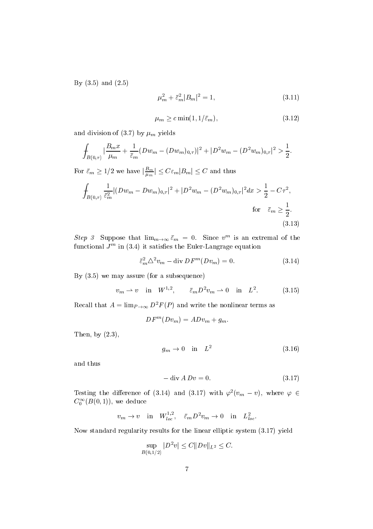By  $(3.5)$  and  $(2.5)$ 

$$
\mu_m^2 + \bar{\varepsilon}_m^2 |B_m|^2 = 1,\tag{3.11}
$$

$$
\mu_m \ge c \min(1, 1/\bar{\varepsilon}_m),\tag{3.12}
$$

and division of (3.7) by  $\mu_m$  yields

$$
\int_{B(0,\tau)}|\frac{B_mx}{\mu_m}+\frac{1}{\bar{\varepsilon}_m}(Dw_m-(Dw_m)_{0,\tau})|^2+|D^2w_m-(D^2w_m)_{0,\tau}|^2>\frac{1}{2}.
$$

For  $\bar{\varepsilon}_m \geq 1/2$  we have  $|\frac{B_m}{\mu_m}| \leq C \varepsilon_m |B_m| \leq C$  and thus

$$
\oint_{B(0,\tau)} \frac{1}{\bar{\varepsilon}_m^2} |(Dw_m - Dw_m)_{0,\tau}|^2 + |D^2w_m - (D^2w_m)_{0,\tau}|^2 dx > \frac{1}{2} - C\tau^2,
$$
\n
$$
\text{for } \bar{\varepsilon}_m \ge \frac{1}{2}.
$$
\n(3.13)

Step 3 Suppose that  $\lim_{m\to\infty} \varepsilon_m = 0$ . Since  $v^m$  is an extremal of the functional J<sup>m</sup> in it satises the EulerLangrage equation

$$
\bar{\varepsilon}_m^2 \Delta^2 v_m - \text{div } DF^m(Dv_m) = 0. \tag{3.14}
$$

By  $(3.5)$  we may assure (for a subsequence)

$$
v_m \rightharpoonup v
$$
 in  $W^{1,2}$ ,  $\bar{\varepsilon}_m D^2 v_m \rightharpoonup 0$  in  $L^2$ . (3.15)

Recall that  $A = \lim_{P \to \infty} D^2 F(P)$  and write the nonlinear terms as

$$
DF^m(Dv_m) = ADv_m + g_m.
$$

Then, by  $(2.3)$ ,

$$
g_m \to 0 \quad \text{in} \quad L^2 \tag{3.16}
$$

and thus

$$
-\operatorname{div} ADv = 0. \tag{3.17}
$$

Testing the difference of (3.14) and (3.17) with  $\varphi^2(v_m - v)$ , where  $\varphi \in$  $C_0^{\dagger}$  ( $B(0,1)$ ), we deduce

$$
v_m \to v \quad \text{in} \quad W_{loc}^{1,2}, \quad \bar{\varepsilon}_m D^2 v_m \to 0 \quad \text{in} \quad L^2_{loc}.
$$

Now standard regularity results for the linear elliptic system  $(3.17)$  yield

$$
\sup_{B(0,1/2)}|D^2v|\leq C\|Dv\|_{L^2}\leq C.
$$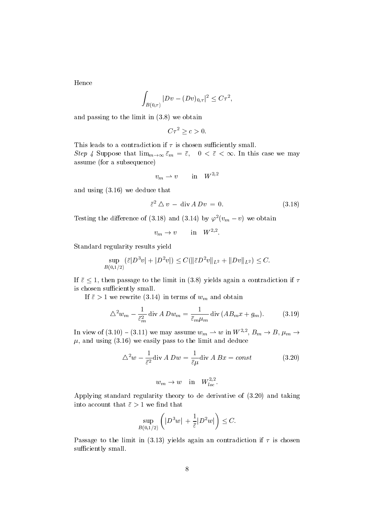Hence

$$
\int_{B(0,\tau)} |Dv-(Dv)_{0,\tau}|^2 \leq C \tau^2,
$$

and passing to the limit in  $(3.8)$  we obtain

$$
C\tau^2 \geq c > 0.
$$

This leads to a contradiction if  $\tau$  is chosen sufficiently small. Step 4 Suppose that  $\lim_{m\to\infty} \varepsilon_m = \varepsilon$ ,  $0 < \varepsilon < \infty$ . In this case we may assume (for a subsequence)

$$
v_m\rightharpoonup v\qquad\text{in}\quad W^{2,2}
$$

and using  $(3.16)$  we deduce that

$$
\bar{\varepsilon}^2 \triangle v - \text{div } A D v = 0. \tag{3.18}
$$

Testing the difference of (5.16) and (5.14) by  $\varphi^{\perp}(v_m - v)$  we obtain

$$
v_m \to v \qquad \text{in} \quad W^{2,2}.
$$

Standard regularity results yield

$$
\sup_{B(0,1/2)} (\bar{\varepsilon}|D^3v|+|D^2v|) \leq C(\|\bar{\varepsilon}D^2v\|_{L^2}+\|Dv\|_{L^2}) \leq C.
$$

If  $\bar{\varepsilon} \leq 1$ , then passage to the limit in (3.8) yields again a contradiction if  $\tau$ is chosen sufficiently small.

If  $\bar{\varepsilon} > 1$  we rewrite (3.14) in terms of  $w_m$  and obtain

$$
\Delta^2 w_m - \frac{1}{\bar{\varepsilon}_m^2} \operatorname{div} A D w_m = \frac{1}{\bar{\varepsilon}_m \mu_m} \operatorname{div} (A B_m x + g_m). \tag{3.19}
$$

In view of  $(3.10) - (3.11)$  we may assume  $w_m \rightharpoonup w$  in  $W^{2,2}$ ,  $B_m \rightarrow B$ ,  $\mu_m \rightarrow$  $\mu$ , and using (3.16) we easily pass to the limit and deduce

$$
\Delta^2 w - \frac{1}{\bar{\varepsilon}^2} \text{div} \, A \, Dw = \frac{1}{\bar{\varepsilon}\mu} \text{div} \, A \, Bx = const \tag{3.20}
$$

$$
w_m \to w \quad \text{in} \quad W_{loc}^{2,2}.
$$

Applying standard regularity theory to de derivative of  $(3.20)$  and taking into account that  $\bar{\varepsilon} > 1$  we find that

$$
\sup_{B(0,1/2)}\left(|D^3 w| \,+\frac{1}{\bar{\varepsilon}}|D^2 w|\right)\leq C.
$$

Passage to the limit in (3.13) yields again an contradiction if  $\tau$  is chosen sufficiently small.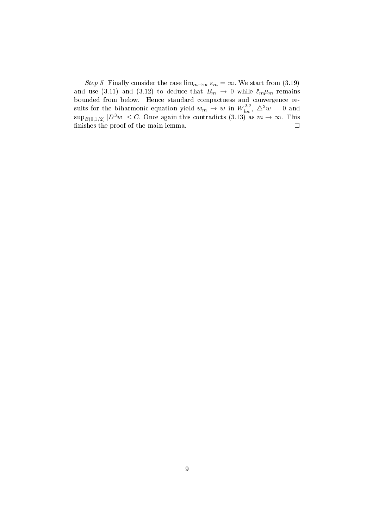Step 5 Finally consider the case  $\lim_{m\to\infty} \varepsilon_m = \infty$ . We start from (3.19) and use (3.11) and (3.12) to deduce that  $B_m \to 0$  while  $\bar{\varepsilon}_m \mu_m$  remains bounded from below. Hence standard compactness and convergence results for the biharmonic equation yield  $w_m \to w$  in  $W_{loc}^{2,2}$ ,  $\Delta^2 w = 0$  and  $\sup_{B(0,1/2)} |D^3 w| \leq C$ . Once again this contradicts (3.13) as  $m \to \infty$ . This nishes the proof of the main lemma is the main lemma in the main lemma is the main lemma in the main lemma is t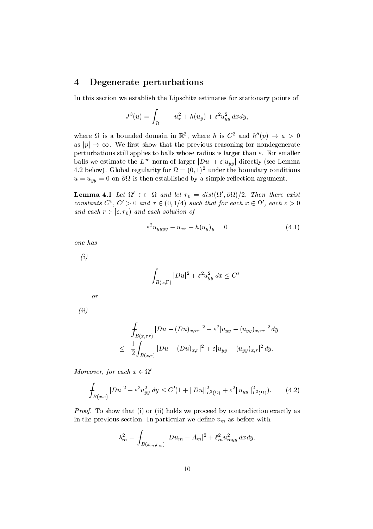#### $\overline{4}$ Degenerate perturbations

In this section we establish the Lipschitz estimates for stationary points of

$$
J^{3}(u) = \int_{\Omega} u_{x}^{2} + h(u_{y}) + \varepsilon^{2} u_{yy}^{2} dxdy,
$$

where  $\Omega$  is a bounded domain in  $\mathbb{R}^2$ , where h is  $C^2$  and  $h''(p) \to a > 0$ as  $|p| \to \infty$ . We first show that the previous reasoning for nondegenerate perturbations still applies to balls whose radius is larger than  $\varepsilon$ . For smaller balls we estimate the  $L^{\infty}$  norm of larger  $|Du| + \varepsilon |u_{yy}|$  directly (see Lemma  $4.2$  below). Global regularity for  $\Omega = (0,1)$  -under the boundary conditions  $u = u_{yy} = 0$  on  $\partial\Omega$  is then established by a simple reflection argument.

**Lemma 4.1** Let  $\Omega' \subset\subset \Omega$  and let  $r_0 = dist(\Omega', \partial \Omega)/2$ . Then there exist constants  $C^*$ ,  $C' > 0$  and  $\tau \in (0, 1/4)$  such that for each  $x \in \Omega'$ , each  $\varepsilon > 0$ and each  $r \in [\varepsilon, r_0)$  and each solution of

$$
\varepsilon^2 u_{yyyy} - u_{xx} - h(u_y)_y = 0 \tag{4.1}
$$

one has

 $\left( i\right)$ 

$$
\int_{B(x,\Gamma)} |Du|^2 + \varepsilon^2 u_{yy}^2 dx \le C^*
$$

or

 $\left( ii\right)$ 

$$
\int_{B(x,\tau r)} |Du - (Du)_{x,\tau r}|^2 + \varepsilon^2 |u_{yy} - (u_{yy})_{x,\tau r}|^2 dy
$$
\n
$$
\leq \frac{1}{2} \int_{B(x,r)} |Du - (Du)_{x,r}|^2 + \varepsilon |u_{yy} - (u_{yy})_{x,r}|^2 dy.
$$

Moreover, for each  $x \in \Omega'$ 

$$
\int_{B(x,\varepsilon)} |Du|^2 + \varepsilon^2 u_{yy}^2 \, dy \le C'(1 + ||Du||_{L^2(\Omega)}^2 + \varepsilon^2 ||u_{yy}||_{L^2(\Omega)}^2). \tag{4.2}
$$

Proof- To show that i or ii holds we proceed by contradiction exactly as in the previous section. In particular we define  $v_m$  as before with

$$
\lambda_m^2 = \int_{B(x_m,r_m)} |Du_m - A_m|^2 + \bar{\varepsilon}_m^2 u_{myy}^2 dx dy.
$$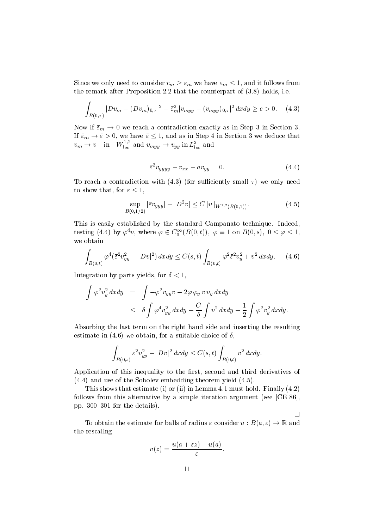Since we only need to consider  $r_m \geq \varepsilon_m$  we have  $\bar{\varepsilon}_m \leq 1$ , and it follows from the remark after Proposition 2.2 that the counterpart of  $(3.8)$  holds, i.e.

$$
\int_{B(0,\tau)} |Dv_m - (Dv_m)_{0,\tau}|^2 + \bar{\varepsilon}_m^2 |v_{myy} - (v_{myy})_{0,\tau}|^2 dx dy \ge c > 0. \quad (4.3)
$$

Now if  $\bar{\varepsilon}_m \to 0$  we reach a contradiction exactly as in Step 3 in Section 3. If  $\bar{\varepsilon}_m \to \bar{\varepsilon} > 0$ , we have  $\bar{\varepsilon} \leq 1$ , and as in Step 4 in Section 3 we deduce that  $v_m \to v$  in  $W_{loc}^{+,\sim}$  and  $v_{myy} \to v_{yy}$  in  $L_{loc}^{\sim}$  and

$$
\bar{\varepsilon}^2 v_{yyyy} - v_{xx} - av_{yy} = 0. \tag{4.4}
$$

To reach a contradiction with  $(4.3)$  (for sufficiently small  $\tau$ ) we only need to show that, for  $\bar{\varepsilon} \leq 1$ ,

$$
\sup_{B(0,1/2)} |\bar{\varepsilon}v_{yyy}| + |D^2 v| \le C \|v\|_{W^{1,2}(B(0,1))}.
$$
\n(4.5)

This is easily established by the standard Campanato technique Indeed testing (4.4) by  $\varphi^*v$ , where  $\varphi \in C_0^{\infty}(B(0,t))$ ,  $\varphi \equiv 1$  on  $B(0,s)$ ,  $0 \le \varphi \le 1$ , we obtain

$$
\int_{B(0,t)} \varphi^4(\bar{\varepsilon}^2 v_{yy}^2 + |Dv|^2) \, dx dy \le C(s,t) \int_{B(0,t)} \varphi^2 \bar{\varepsilon}^2 v_y^2 + v^2 \, dx dy. \tag{4.6}
$$

Integration by parts yields, for  $\delta < 1$ ,

$$
\int \varphi^2 v_y^2 dx dy = \int -\varphi^2 v_{yy} v - 2\varphi \varphi_y v v_y dx dy
$$
  
\n
$$
\leq \delta \int \varphi^4 v_{yy}^2 dx dy + \frac{C}{\delta} \int v^2 dx dy + \frac{1}{2} \int \varphi^2 v_y^2 dx dy.
$$

Absorbing the last term on the right hand side and inserting the resulting estimate in (4.6) we obtain, for a suitable choice of  $\delta$ ,

$$
\int_{B(0,s)} \bar{\varepsilon}^2 v_{yy}^2 + |Dv|^2 \, dxdy \le C(s,t) \int_{B(0,t)} v^2 \, dxdy.
$$

Application of this inequality to the first, second and third derivatives of  $(4.4)$  and use of the Sobolev embedding theorem yield  $(4.5)$ .

This shows that estimate (i) or (ii) in Lemma 4.1 must hold. Finally  $(4.2)$ follows from this alternative by a simple iteration argument (see  $[CE 86]$ , pp. 300-301 for the details).

To obtain the estimate for balls of radius  $\varepsilon$  consider  $u : B(a, \varepsilon) \to \mathbb{R}$  and the rescaling

$$
v(z) = \frac{u(a + \varepsilon z) - u(a)}{\varepsilon}.
$$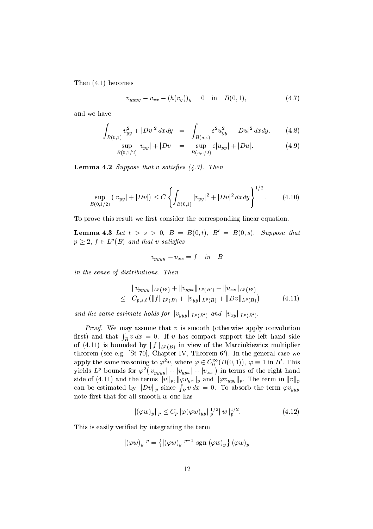Then  $(4.1)$  becomes

$$
v_{yyyy} - v_{xx} - (h(v_y))_y = 0 \quad \text{in} \quad B(0,1), \tag{4.7}
$$

and we have

$$
\int_{B(0,1)} v_{yy}^2 + |Dv|^2 dx dy = \int_{B(a,\varepsilon)} \varepsilon^2 u_{yy}^2 + |Du|^2 dx dy, \qquad (4.8)
$$

$$
\sup_{B(0,1/2)} |v_{yy}| + |Dv| = \sup_{B(a,\varepsilon/2)} \varepsilon |u_{yy}| + |Du|.
$$
 (4.9)

 $\mathcal{L} = \mathcal{L} \mathcal{L}$  , then the satisfies of the satisfies of the satisfies of the satisfies of the satisfies of the satisfies of the satisfies of the satisfactor of the satisfactor of the satisfactor of the satisfactor

$$
\sup_{B(0,1/2)} (|v_{yy}| + |Dv|) \le C \left\{ \int_{B(0,1)} |v_{yy}|^2 + |Dv|^2 \, dxdy \right\}^{1/2}.
$$
 (4.10)

To prove this result we first consider the corresponding linear equation.

**Lemma 4.5** Let  $t > s > 0$ ,  $D = D(0, t)$ ,  $D = D(0, s)$ . Suppose that  $p \geq 2$ ,  $f \in L^p(B)$  and that v satisfies

$$
v_{yyyy} - v_{xx} = f \quad in \quad B
$$

in the sense of distributions- Then

$$
||v_{yyyy}||_{L^{p}(B')} + ||v_{yyx}||_{L^{p}(B')} + ||v_{xx}||_{L^{p}(B')}
$$
  
\n
$$
\leq C_{p,s,t} (||f||_{L^{p}(B)} + ||v_{yy}||_{L^{p}(B)} + ||Dv||_{L^{p}(B)})
$$
(4.11)

and the same estimate holds for  $||v_{yyy}||_{L^p(B')}$  and  $||v_{xy}||_{L^p(B')}$ .

Proof- We may assume that v is smooth otherwise apply convolution first) and that  $\int_B v \, dx = 0$ . If v has compact support the left hand side of (4.11) is bounded by  $||f||_{L^p(B)}$  in view of the Marcinkiewicz multiplier theorem (see e.g. [St 70], Chapter IV, Theorem  $6'$ ). In the general case we apply the same reasoning to  $\varphi^2 v$ , where  $\varphi \in C_0^\infty(B(0,1)),\ \varphi \equiv 1$  in  $B'$  . This yields  $L^p$  bounds for  $\varphi^2(|v_{yyy}| + |v_{yyx}| + |v_{xx}|)$  in terms of the right hand side of (4.11) and the terms  $||v||_p$ ,  $||\varphi v_{yx}||_p$  and  $||\varphi v_{yyy}||_p$ . The term in  $||v||_p$ can be estimated by  $||Dv||_p$  since  $\int_B v dx = 0$ . To absorb the term  $\varphi v_{yyy}$ note first that for all smooth  $w$  one has

$$
\|(\varphi w)_y\|_p \le C_p \|\varphi(\varphi w)_{yy}\|_p^{1/2} \|w\|_p^{1/2}.
$$
\n(4.12)

This is easily verified by integrating the term

$$
|(\varphi w)_y|^p = \left\{ |(\varphi w)_y|^{p-1} \operatorname{sgn} (\varphi w)_y \right\} (\varphi w)_y
$$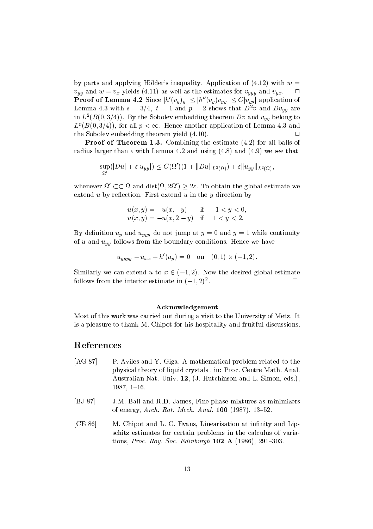by parts and applying Hölder's inequality. Application of  $(4.12)$  with  $w =$  $v_{yy}$  and  $w = v_x$  yields (4.11) as well as the estimates for  $v_{yyy}$  and  $v_{yx}$ . **Proof of Lemma 4.2** Since  $|h'(v_y)_y| \leq |h''(v_y)v_{yy}| \leq C|v_{yy}|$  application of Lemma 4.5 with  $s = 3/4$ ,  $t = 1$  and  $p = 2$  shows that  $D^{\dagger}v$  and  $D^{\dagger}v_{yy}$  are in  $L^-(B(0,3/4))$ . By the Sobolev embedding theorem  $Dv$  and  $v_{yy}$  belong to  $L^p(B(0,3/4))$ , for all  $p < \infty$ . Hence another application of Lemma 4.3 and the Sobolev embedding theorem yield  $(4.10)$ .

**Proof of Theorem 1.3.** Combining the estimate  $(4.2)$  for all balls of radius larger than  $\varepsilon$  with Lemma 4.2 and using (4.8) and (4.9) we see that

$$
\sup_{\Omega'}(|Du|+\varepsilon|u_{yy}|)\leq C(\Omega')(1+\|Du\|_{L^2(\Omega)})+\varepsilon\|u_{yy}\|_{L^2(\Omega)},
$$

whenever  $\Omega' \subset\subset \Omega$  and  $dist(\Omega, 2\Omega') \geq 2\varepsilon$ . To obtain the global estimate we extend u by reflection. First extend u in the y direction by

$$
u(x, y) = -u(x, -y) \quad \text{if} \quad -1 < y < 0, \\ u(x, y) = -u(x, 2 - y) \quad \text{if} \quad 1 < y < 2.
$$

By definition  $u_y$  and  $u_{yyy}$  do not jump at  $y = 0$  and  $y = 1$  while continuity of u and  $u_{yy}$  follows from the boundary conditions. Hence we have

$$
u_{uuuu} - u_{xx} + h'(u_u) = 0 \quad \text{on} \quad (0,1) \times (-1,2).
$$

Similarly we can extend u to  $x \in (-1,2)$ . Now the desired global estimate follows from the interior estimate in  $(-1, 2)^{\frac{1}{2}}$ .

### Acknowledgement

Most of this work was carried out during a visit to the University of Metz It is a pleasure to thank M. Chipot for his hospitality and fruitful discussions.

# References

- [AG 87] P. Aviles and Y. Giga, A mathematical problem related to the physical theory of liquid crystals (i.e., a set of the Math Analysis and Math Analysis Australian Nat. Univ.  $12$ , (J. Hutchinson and L. Simon, eds.),  $1987, 1-16.$
- [BJ 87] J.M. Ball and R.D. James, Fine phase mixtures as minimizers of energy are all the contract of the contract of the contract of the contract of the contract of the contract of the contract of the contract of the contract of the contract of the contract of the contract of the contract
- [CE 86] M. Chipot and L. C. Evans, Linearisation at infinity and Lipschitz estimates for certain problems in the calculus of varia tions Proceeding and Contract Control of the Contract of the Proceeding and Contract Contract Contract Contract